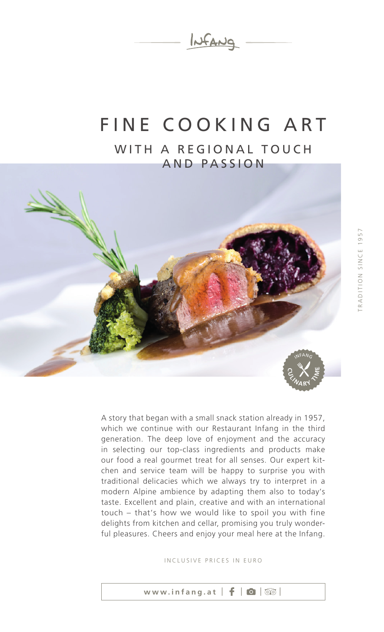

#### FINE COOKING ART WITH A REGIONAL TOUCH AND PASSION



A story that began with a small snack station already in 1957, which we continue with our Restaurant Infang in the third generation. The deep love of enjoyment and the accuracy in selecting our top-class ingredients and products make our food a real gourmet treat for all senses. Our expert kitchen and service team will be happy to surprise you with traditional delicacies which we always try to interpret in a modern Alpine ambience by adapting them also to today's taste. Excellent and plain, creative and with an international touch – that's how we would like to spoil you with fine delights from kitchen and cellar, promising you truly wonderful pleasures. Cheers and enjoy your meal here at the Infang.

INCLUSIVE PRICES IN EURO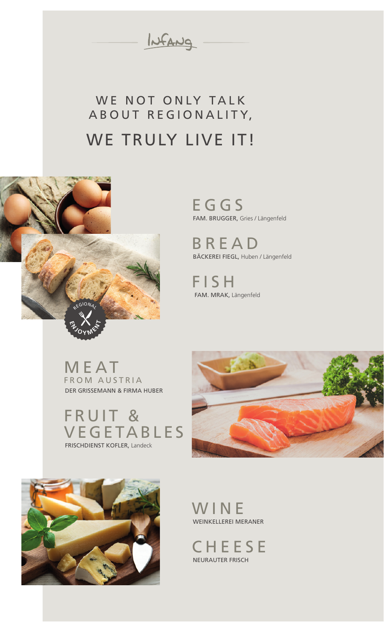INFANG

#### WE NOT ONLY TALK A B OUT REGION ALITY, WE TRULY LIVE IT!



**EGGS** FAM. BRUGGER, Gries / Längenfeld

BREAD BÄCKEREI FIEGL, Huben / Längenfeld

FISH FAM. MRAK, Längenfeld

M E AT FROM AUSTRIA DER GRISSEMANN & FIRMA HUBER

FRUIT & VEGETABLES FRISCHDIENST KOFLER, Landeck





WINE WEINKELLEREI MERANER

**CHEESE** NEURAUTER FRISCH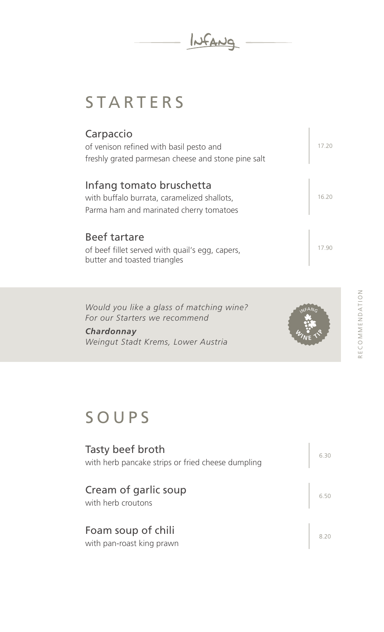INFANG

## **STARTERS**

| Carpaccio<br>of venison refined with basil pesto and<br>freshly grated parmesan cheese and stone pine salt         | 17 20 |
|--------------------------------------------------------------------------------------------------------------------|-------|
| Infang tomato bruschetta<br>with buffalo burrata, caramelized shallots,<br>Parma ham and marinated cherry tomatoes | 16.20 |
| <b>Beef tartare</b><br>of beef fillet served with quail's egg, capers,<br>butter and toasted triangles             |       |

*Would you like a glass of matching wine? For our Starters we recommend* 

*Chardonnay Weingut Stadt Krems, Lower Austria*



# SOUPS

| Tasty beef broth<br>with herb pancake strips or fried cheese dumpling | 6.30 |
|-----------------------------------------------------------------------|------|
| Cream of garlic soup<br>with herb croutons                            |      |
| Foam soup of chili<br>with pan-roast king prawn                       |      |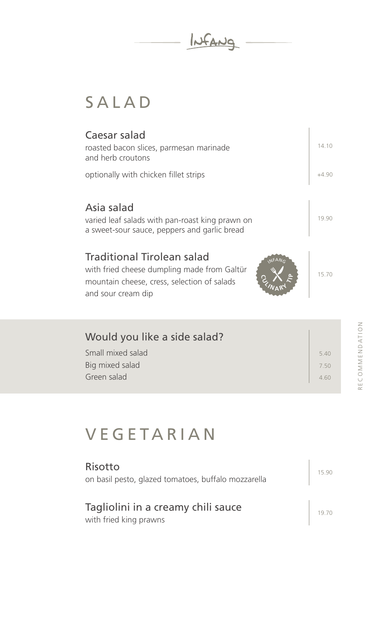INFANG

# SALAD

| Caesar salad<br>roasted bacon slices, parmesan marinade<br>and herb croutons                                                                                   | 14.10   |
|----------------------------------------------------------------------------------------------------------------------------------------------------------------|---------|
| optionally with chicken fillet strips                                                                                                                          | $+4.90$ |
| Asia salad<br>varied leaf salads with pan-roast king prawn on<br>a sweet-sour sauce, peppers and garlic bread                                                  | 19.90   |
| <b>Traditional Tirolean salad</b><br>NFANG<br>with fried cheese dumpling made from Galtür<br>mountain cheese, cress, selection of salads<br>and sour cream dip | 15.70   |
|                                                                                                                                                                |         |
| Would you like a side salad?                                                                                                                                   |         |
| Small mixed salad                                                                                                                                              | 5.40    |
| Big mixed salad                                                                                                                                                | 750     |
| Green salad                                                                                                                                                    | 4.60    |

## **VEGETARIAN**

| Risotto<br>on basil pesto, glazed tomatoes, buffalo mozzarella | 15.90 |
|----------------------------------------------------------------|-------|
| Tagliolini in a creamy chili sauce<br>with fried king prawns   |       |

RECOMMENDATION RECOMMENDATION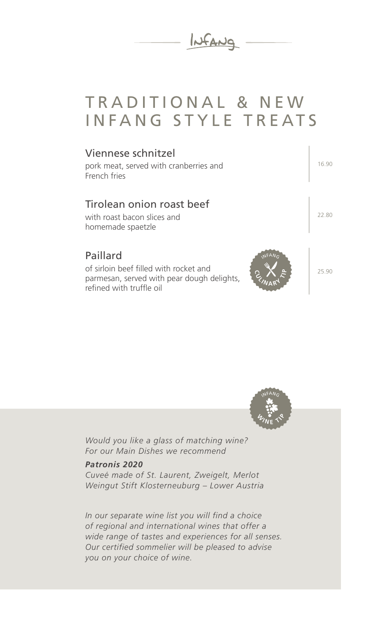

#### TRADITIONAL & NEW INFANG STYLE TREATS



INFANG  $\mathscr{A}_{\text{N}}$  **P E**  $\textbf{P} \times \textbf{P}$ 

*Would you like a glass of matching wine? For our Main Dishes we recommend* 

#### *Patronis 2020*

*Cuveé made of St. Laurent, Zweigelt, Merlot Weingut Stift Klosterneuburg – Lower Austria*

*In our separate wine list you will find a choice of regional and international wines that offer a wide range of tastes and experiences for all senses. Our certified sommelier will be pleased to advise you on your choice of wine.*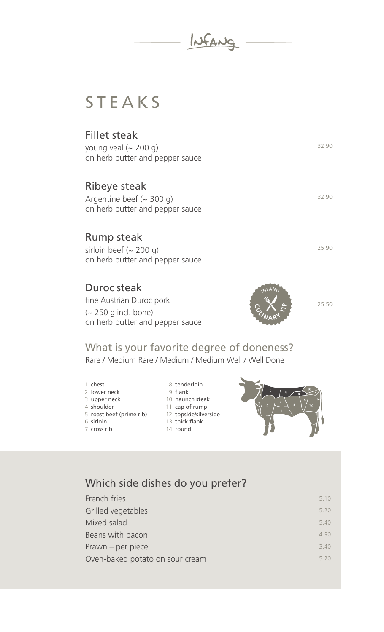

#### STEAKS

| <b>Fillet steak</b><br>young veal $($ - 200 g)<br>on herb butter and pepper sauce          | 32.90 |
|--------------------------------------------------------------------------------------------|-------|
| Ribeye steak<br>Argentine beef $({\sim} 300 \text{ q})$<br>on herb butter and pepper sauce | 32.90 |
| <b>Rump steak</b><br>sirloin beef $(-200 g)$<br>on herb butter and pepper sauce            | 25.90 |
| Duroc steak<br>fine Austrian Duroc pork<br>$\sim$ 250 g incl. bone)                        | 25.50 |

What is your favorite degree of doneness?

Rare / Medium Rare / Medium / Medium Well / Well Done

- 1 chest
- 2 lower neck

on herb butter and pepper sauce

- 3 upper neck
- 4 shoulder
- 5 roast beef (prime rib)
- 6 sirloin
- 7 cross rib

8 tenderloin

- 9 flank
- 10 haunch steak
- 11 cap of rump
- 12 topside/silverside
- 13 thick flank
- 14 round



| Which side dishes do you prefer? |     |
|----------------------------------|-----|
| French fries                     | 510 |
| Grilled vegetables               | 520 |
| Mixed salad                      | 540 |
| Beans with bacon                 | 490 |
| Prawn - per piece                | 340 |
| Oven-baked potato on sour cream  | 520 |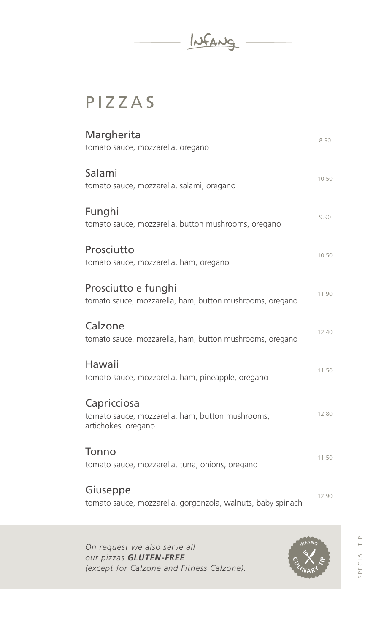INFANG

# PIZZAS

| Margherita<br>tomato sauce, mozzarella, oregano                                        | 8.90  |
|----------------------------------------------------------------------------------------|-------|
| Salami<br>tomato sauce, mozzarella, salami, oregano                                    | 10.50 |
| Funghi<br>tomato sauce, mozzarella, button mushrooms, oregano                          | 9.90  |
| Prosciutto<br>tomato sauce, mozzarella, ham, oregano                                   | 10.50 |
| Prosciutto e funghi<br>tomato sauce, mozzarella, ham, button mushrooms, oregano        | 11.90 |
| Calzone<br>tomato sauce, mozzarella, ham, button mushrooms, oregano                    | 12.40 |
| Hawaii<br>tomato sauce, mozzarella, ham, pineapple, oregano                            | 11.50 |
| Capricciosa<br>tomato sauce, mozzarella, ham, button mushrooms,<br>artichokes, oregano | 12.80 |
| Tonno<br>tomato sauce, mozzarella, tuna, onions, oregano                               | 11.50 |
| Giuseppe<br>tomato sauce, mozzarella, gorgonzola, walnuts, baby spinach                | 12.90 |

*On request we also serve all our pizzas GLUTEN-FREE (except for Calzone and Fitness Calzone).*

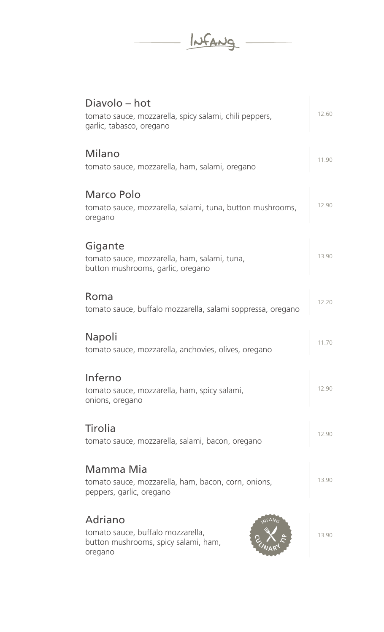INFANG

| Diavolo – hot<br>tomato sauce, mozzarella, spicy salami, chili peppers,<br>garlic, tabasco, oregano | 12.60 |
|-----------------------------------------------------------------------------------------------------|-------|
| Milano<br>tomato sauce, mozzarella, ham, salami, oregano                                            | 11.90 |
| Marco Polo<br>tomato sauce, mozzarella, salami, tuna, button mushrooms,<br>oregano                  | 12.90 |
| Gigante<br>tomato sauce, mozzarella, ham, salami, tuna,<br>button mushrooms, garlic, oregano        | 13.90 |
| Roma<br>tomato sauce, buffalo mozzarella, salami soppressa, oregano                                 | 12.20 |
| Napoli<br>tomato sauce, mozzarella, anchovies, olives, oregano                                      | 11.70 |
| Inferno<br>tomato sauce, mozzarella, ham, spicy salami,<br>onions, oregano                          | 12.90 |
| Tirolia<br>tomato sauce, mozzarella, salami, bacon, oregano                                         | 12.90 |
| Mamma Mia<br>tomato sauce, mozzarella, ham, bacon, corn, onions,<br>peppers, garlic, oregano        | 13.90 |
| Adriano<br>tomato sauce, buffalo mozzarella,<br>button mushrooms, spicy salami, ham,<br>oregano     | 13.90 |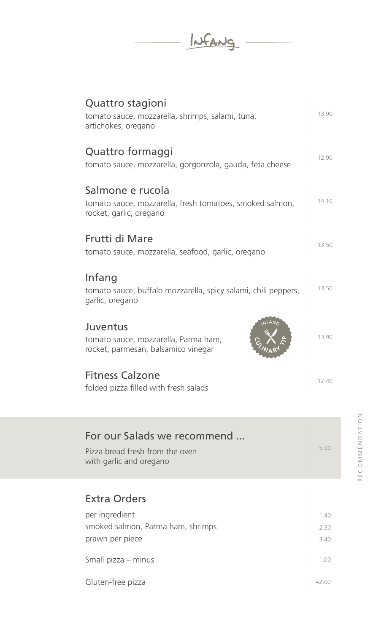INFANG

| Quattro stagioni<br>tomato sauce, mozzarella, shrimps, salami, tuna,<br>artichokes, oregano             | 13.90 |
|---------------------------------------------------------------------------------------------------------|-------|
| Quattro formaggi<br>tomato sauce, mozzarella, gorgonzola, gauda, feta cheese                            | 12.90 |
| Salmone e rucola<br>tomato sauce, mozzarella, fresh tomatoes, smoked salmon,<br>rocket, garlic, oregano | 14.10 |
| Frutti di Mare<br>tomato sauce, mozzarella, seafood, garlic, oregano                                    | 13.50 |
| Infang<br>tomato sauce, buffalo mozzarella, spicy salami, chili peppers,<br>garlic, oregano             | 13.50 |
| <b>JFANG</b><br>Juventus<br>tomato sauce, mozzarella, Parma ham,<br>rocket, parmesan, balsamico vinegar | 13.90 |
| <b>Fitness Calzone</b><br>folded pizza filled with fresh salads                                         | 12.40 |
| For our Salads we recommend                                                                             |       |

5.90

#### Extra Orders

Pizza bread fresh from the oven

with garlic and oregano

| per ingredient                    | 1.40 |
|-----------------------------------|------|
| smoked salmon, Parma ham, shrimps | 2.50 |
| prawn per piece                   | 3.40 |
| Small pizza – minus               | 1.00 |
| Gluten-free pizza                 |      |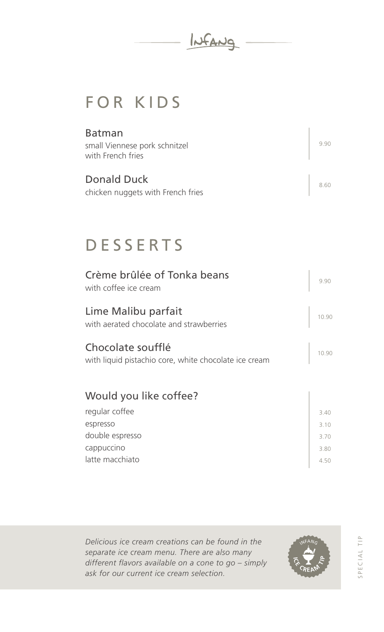

## FOR KIDS

| <b>Batman</b><br>small Viennese pork schnitzel<br>with French fries |  |
|---------------------------------------------------------------------|--|
| Donald Duck<br>chicken nuggets with French fries                    |  |

#### DESSERTS

| Crème brûlée of Tonka beans<br>with coffee ice cream                       | 9.90 |
|----------------------------------------------------------------------------|------|
| Lime Malibu parfait<br>with aerated chocolate and strawberries             |      |
| Chocolate soufflé<br>with liquid pistachio core, white chocolate ice cream | 1090 |
| Would you like coffee?                                                     |      |
| regular coffee                                                             | 3.40 |
| espresso                                                                   | 3.10 |
| double espresso                                                            | 3.70 |
| cappuccino                                                                 | 380  |
| latte macchiato                                                            | 4.50 |

*Delicious ice cream creations can be found in the separate ice cream menu. There are also many different flavors available on a cone to go – simply ask for our current ice cream selection.* 

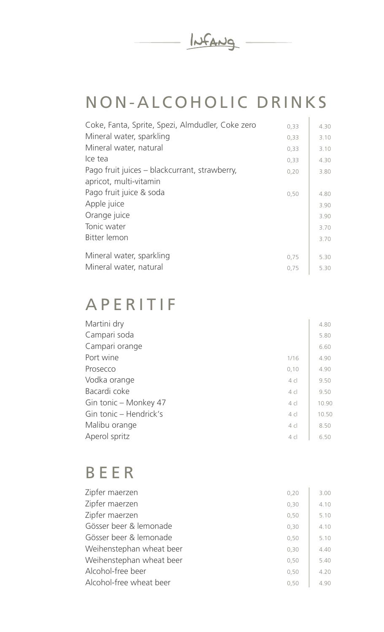

## NON-ALCOHOLIC DRINKS

| Coke, Fanta, Sprite, Spezi, Almdudler, Coke zero | 0,33 | 4.30 |
|--------------------------------------------------|------|------|
| Mineral water, sparkling                         | 0,33 | 3.10 |
| Mineral water, natural                           | 0,33 | 3.10 |
| Ice tea                                          | 0,33 | 4.30 |
| Pago fruit juices – blackcurrant, strawberry,    | 0,20 | 3.80 |
| apricot, multi-vitamin                           |      |      |
| Pago fruit juice & soda                          | 0,50 | 4.80 |
| Apple juice                                      |      | 3.90 |
| Orange juice                                     |      | 3.90 |
| Tonic water                                      |      | 3.70 |
| Bitter lemon                                     |      | 3.70 |
|                                                  |      |      |
| Mineral water, sparkling                         | 0,75 | 5.30 |
| Mineral water, natural                           | 0,75 | 5.30 |

#### APERITIF

| Martini dry            |                | 4.80  |
|------------------------|----------------|-------|
| Campari soda           |                | 5.80  |
| Campari orange         |                | 6.60  |
| Port wine              | 1/16           | 4.90  |
| Prosecco               | 0,10           | 4.90  |
| Vodka orange           | 4c             | 9.50  |
| Bacardi coke           | $4 \,$ cl      | 9.50  |
| Gin tonic – Monkey 47  | 4 <sub>c</sub> | 10.90 |
| Gin tonic - Hendrick's | $4 \,$ cl      | 10.50 |
| Malibu orange          | 4 <sub>c</sub> | 8.50  |
| Aperol spritz          | 4c             | 6.50  |

#### BEER

| Zipfer maerzen           | 0,20 | 3.00 |
|--------------------------|------|------|
| Zipfer maerzen           | 0,30 | 4.10 |
| Zipfer maerzen           | 0,50 | 5.10 |
| Gösser beer & lemonade   | 0,30 | 4.10 |
| Gösser beer & lemonade   | 0,50 | 5.10 |
| Weihenstephan wheat beer | 0,30 | 4.40 |
| Weihenstephan wheat beer | 0,50 | 5.40 |
| Alcohol-free beer        | 0,50 | 4.20 |
| Alcohol-free wheat beer  | 0.50 | 4.90 |